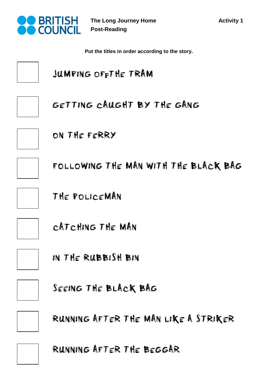

**The Long Journey Home Post-Reading** 

**Put the titles in order according to the story.**

JUMPING OFFTHE TRAM



GETTING CAUGHT BY THE GANG



ON THE FERRY

FOLLOWING THE MAN WITH THE BLACK BAG

THE POLICEMAN

CATCHING THE MAN



IN THE RUBBISH BIN



SEEING THE BLACK BAG



RUNNING AFTER THE MAN LIKE A STRIKER



RUNNING AFTER THE BEGGAR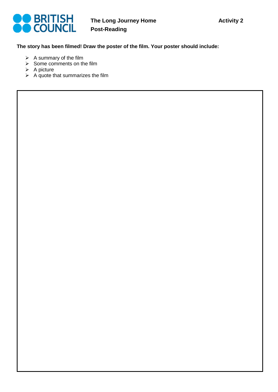

## **The story has been filmed! Draw the poster of the film. Your poster should include:**

- $\triangleright$  A summary of the film
- $\triangleright$  Some comments on the film
- $\triangleright$  A picture
- $\triangleright$  A quote that summarizes the film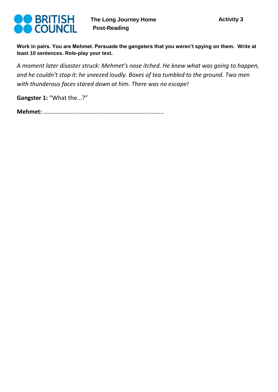

**Work in pairs. You are Mehmet. Persuade the gangsters that you weren't spying on them. Write at least 10 sentences. Role-play your text.** 

*A moment later disaster struck: Mehmet's nose itched. He knew what was going to happen, and he couldn't stop it: he sneezed loudly. Boxes of tea tumbled to the ground. Two men with thunderous faces stared down at him. There was no escape!*

**Gangster 1:** "What the...?"

**Mehmet:** ……………………………………………………………………..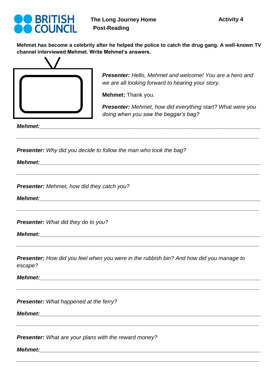

**Mehmet has become a celebrity after he helped the police to catch the drug gang. A well-known TV channel interviewed Mehmet. Write Mehmet's answers.** 



*Presenter: Hello, Mehmet and welcome! You are a hero and we are all looking forward to hearing your story.* 

**Mehmet:** Thank you.

*\_\_\_\_\_\_\_\_\_\_\_\_\_\_\_\_\_\_\_\_\_\_\_\_\_\_\_\_\_\_\_\_\_\_\_\_\_\_\_\_\_\_\_\_\_\_\_\_\_\_\_\_\_\_\_\_\_\_\_\_\_\_\_\_\_\_\_\_\_\_\_\_\_\_\_\_\_\_*

*\_\_\_\_\_\_\_\_\_\_\_\_\_\_\_\_\_\_\_\_\_\_\_\_\_\_\_\_\_\_\_\_\_\_\_\_\_\_\_\_\_\_\_\_\_\_\_\_\_\_\_\_\_\_\_\_\_\_\_\_\_\_\_\_\_\_\_\_\_\_\_\_\_\_\_\_\_\_*

*\_\_\_\_\_\_\_\_\_\_\_\_\_\_\_\_\_\_\_\_\_\_\_\_\_\_\_\_\_\_\_\_\_\_\_\_\_\_\_\_\_\_\_\_\_\_\_\_\_\_\_\_\_\_\_\_\_\_\_\_\_\_\_\_\_\_\_\_\_\_\_\_\_\_\_\_\_\_*

*\_\_\_\_\_\_\_\_\_\_\_\_\_\_\_\_\_\_\_\_\_\_\_\_\_\_\_\_\_\_\_\_\_\_\_\_\_\_\_\_\_\_\_\_\_\_\_\_\_\_\_\_\_\_\_\_\_\_\_\_\_\_\_\_\_\_\_\_\_\_\_\_\_\_\_\_\_\_*

*\_\_\_\_\_\_\_\_\_\_\_\_\_\_\_\_\_\_\_\_\_\_\_\_\_\_\_\_\_\_\_\_\_\_\_\_\_\_\_\_\_\_\_\_\_\_\_\_\_\_\_\_\_\_\_\_\_\_\_\_\_\_\_\_\_\_\_\_\_\_\_\_\_\_\_\_\_\_*

*\_\_\_\_\_\_\_\_\_\_\_\_\_\_\_\_\_\_\_\_\_\_\_\_\_\_\_\_\_\_\_\_\_\_\_\_\_\_\_\_\_\_\_\_\_\_\_\_\_\_\_\_\_\_\_\_\_\_\_\_\_\_\_\_\_\_\_\_\_\_\_\_\_\_\_\_\_\_*

*\_\_\_\_\_\_\_\_\_\_\_\_\_\_\_\_\_\_\_\_\_\_\_\_\_\_\_\_\_\_\_\_\_\_\_\_\_\_\_\_\_\_\_\_\_\_\_\_\_\_\_\_\_\_\_\_\_\_\_\_\_\_\_\_\_\_\_\_\_\_\_\_\_\_\_\_\_\_*

*Presenter: Mehmet, how did everything start? What were you doing when you saw the beggar's bag?*

*Mehmet:\_\_\_\_\_\_\_\_\_\_\_\_\_\_\_\_\_\_\_\_\_\_\_\_\_\_\_\_\_\_\_\_\_\_\_\_\_\_\_\_\_\_\_\_\_\_\_\_\_\_\_\_\_\_\_\_\_\_\_\_\_\_\_\_\_\_\_\_\_\_\_*

*Presenter: Why did you decide to follow the man who took the bag?*

*Mehmet:\_\_\_\_\_\_\_\_\_\_\_\_\_\_\_\_\_\_\_\_\_\_\_\_\_\_\_\_\_\_\_\_\_\_\_\_\_\_\_\_\_\_\_\_\_\_\_\_\_\_\_\_\_\_\_\_\_\_\_\_\_\_\_\_\_\_\_\_\_\_\_*

*Presenter: Mehmet, how did they catch you?*

*Mehmet:\_\_\_\_\_\_\_\_\_\_\_\_\_\_\_\_\_\_\_\_\_\_\_\_\_\_\_\_\_\_\_\_\_\_\_\_\_\_\_\_\_\_\_\_\_\_\_\_\_\_\_\_\_\_\_\_\_\_\_\_\_\_\_\_\_\_\_\_\_\_\_*

*Presenter: What did they do to you?*

*Mehmet:\_\_\_\_\_\_\_\_\_\_\_\_\_\_\_\_\_\_\_\_\_\_\_\_\_\_\_\_\_\_\_\_\_\_\_\_\_\_\_\_\_\_\_\_\_\_\_\_\_\_\_\_\_\_\_\_\_\_\_\_\_\_\_\_\_\_\_\_\_\_\_*

*Presenter: How did you feel when you were in the rubbish bin? And how did you manage to escape?*

*Mehmet:\_\_\_\_\_\_\_\_\_\_\_\_\_\_\_\_\_\_\_\_\_\_\_\_\_\_\_\_\_\_\_\_\_\_\_\_\_\_\_\_\_\_\_\_\_\_\_\_\_\_\_\_\_\_\_\_\_\_\_\_\_\_\_\_\_\_\_\_\_\_\_*

*Presenter: What happened at the ferry?*

*Mehmet:\_\_\_\_\_\_\_\_\_\_\_\_\_\_\_\_\_\_\_\_\_\_\_\_\_\_\_\_\_\_\_\_\_\_\_\_\_\_\_\_\_\_\_\_\_\_\_\_\_\_\_\_\_\_\_\_\_\_\_\_\_\_\_\_\_\_\_\_\_\_\_*

*Presenter: What are your plans with the reward money?*

*Mehmet:\_\_\_\_\_\_\_\_\_\_\_\_\_\_\_\_\_\_\_\_\_\_\_\_\_\_\_\_\_\_\_\_\_\_\_\_\_\_\_\_\_\_\_\_\_\_\_\_\_\_\_\_\_\_\_\_\_\_\_\_\_\_\_\_\_\_\_\_\_\_\_*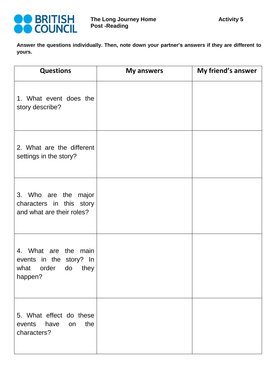

**Answer the questions individually. Then, note down your partner's answers if they are different to yours.** 

| <b>Questions</b>                                                                          | <b>My answers</b> | My friend's answer |
|-------------------------------------------------------------------------------------------|-------------------|--------------------|
| 1. What event does the<br>story describe?                                                 |                   |                    |
| 2. What are the different<br>settings in the story?                                       |                   |                    |
| 3. Who are the major<br>characters in this story<br>and what are their roles?             |                   |                    |
| 4. What are the main<br>events in the story? In<br>order<br>do<br>they<br>what<br>happen? |                   |                    |
| 5. What effect do these<br>the<br>events<br>have<br>on<br>characters?                     |                   |                    |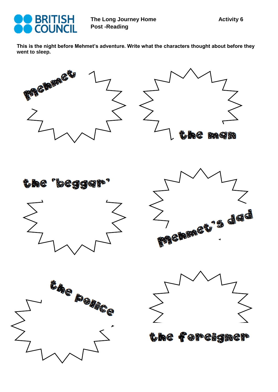

**This is the night before Mehmet's adventure. Write what the characters thought about before they went to sleep.** 

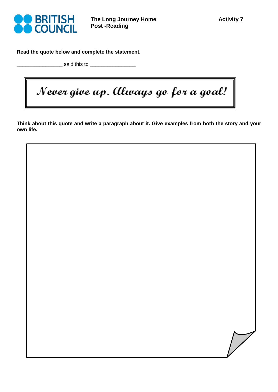

**Read the quote below and complete the statement.** 

 $a$  said this to  $a$ 

Never give up. Always go for a goal!

**Think about this quote and write a paragraph about it. Give examples from both the story and your own life.** 

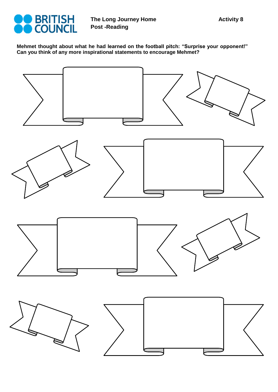

**Mehmet thought about what he had learned on the football pitch: "Surprise your opponent!" Can you think of any more inspirational statements to encourage Mehmet?** 

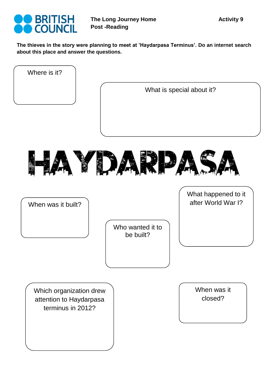

**The thieves in the story were planning to meet at 'Haydarpasa Terminus'. Do an internet search about this place and answer the questions.**